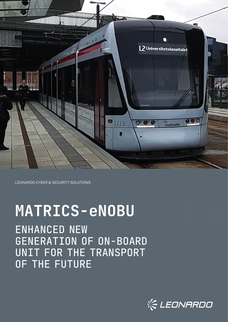

## ENHANCED NEW GENERATION OF ON-BOARD UNIT FOR THE TRANSPORT OF THE FUTURE

# **MATRICS-eNOBU**

LEONARDO CYBER & SECURITY SOLUTIONS

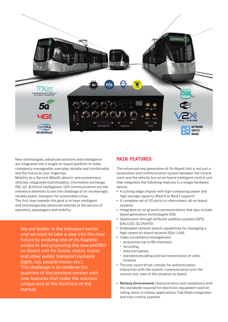

New technologies, advanced solutions and intelligence are integrated into a single on-board platform to make complexity manageable, everyday reliable and comfortable, and the future at your fingertips.

Mobility as a Service (MaaS), electric and autonomous vehicles, integrated multimodality, information exchange (5G, IoT, Artificial Intelligence, V2X communication) are the reference elements to win the challenge of an increasingly reliable public transport for sustainable cities. The first step towards this goal is to have intelligent and technologically advanced vehicles at the service of operators, passengers and mobility.

We are leader in the transport sector and we want to take a step into the near future by evolving one of its flagship products and proposing the new eNOBU on-board unit for buses, metro, trains and other public transport systems (light, rail, people mover, etc.). The challenge is to combine the qualities of the previous version with new features that make the solution unique and at the forefront of the market.

#### MAIN FEATURES

The enhanced new generation of On-Board Unit is not just a localization and communication system between the control room and the vehicle, but an on-board intelligent control unit that integrates the following features in a single hardware device:

- **•** A cutting-edge chipset with high computing power and high storage capacity (Raid 0 or Raid 1 support)
- **•** A complete set of I/O ports to interconnect all on-board systems
- **•** Integrated air-to-ground communications that also include latest generation technologies (5G)
- **•** Geolocation through different satellite systems (GPS, GALILEO, GLONASS)
- **•** Embedded network switch capabilities for managing a high-speed on-board network (Gbit LAN)
- **•** Video surveillance management:
	- **•** acquisition (up to 60 channels),
	- **•** recording,
	- **•** data encryption,
	- **•** standard encoding and live transmission of video streams
- **•** The one-touch driver console for authentication, interaction with the system, communication with the control unit, view of the situation on board.
- **• Railway Environment:** characteristics and compliance with the standards required for electronic equipment used on rolling stock in railway applications. Cab Radio integration and train control systems.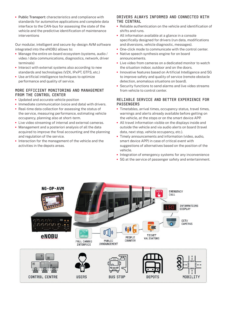**•** Public Transport: characteristics and compliance with standards for automotive applications and complete data interface to the CAN-bus for assessing the state of the vehicle and the predictive identification of maintenance interventions

Our modular, intelligent and secure-by-design AVM software integrated into the eNOBU allows to:

- **•** Manage the entire on-board ecosystem (systems, audio / video / data communications, diagnostics, network, driver terminals)
- **•** Interact with external systems also according to new standards and technologies (V2X, IPxPT, GTFS, etc.)
- **•** Use artificial intelligence techniques to optimize performance and quality of service.

#### MORE EFFICIENT MONITORING AND MANAGEMENT FROM THE CONTROL CENTER

- **•** Updated and accurate vehicle position
- **•** Immediate communication (voice and data) with drivers.
- **•** Real-time data collection for assessing the status of the service, measuring performance, estimating vehicle occupancy, planning also at short-term.
- **•** Live video streaming of internal and external cameras.
- **•** Management and a posteriori analysis of all the data acquired to improve the final accounting and the planning and regulation of the service.
- **•** Interaction for the management of the vehicle and the activities in the depots areas.

#### DRIVERS ALWAYS INFORMED AND CONNECTED WITH THE CENTRAL

- **•** Reliable authentication on the vehicle and identification of shifts and runs.
- **•** All information available at a glance in a console specifically designed for drivers (run data, modifications and diversions, vehicle diagnostic, messages).
- **•** One-click mode to communicate with the control center.
- **•** Native speech synthesis engine for on board announcements.
- **•** Live video from cameras on a dedicated monitor to watch the situation indoor, outdoor and on the doors.
- **•** Innovative features based on Artificial Intelligence and 5G to improve safety and quality of service (remote obstacle detection, anomalous situations on board).
- **•** Security functions to send alarms and live video streams from vehicle to control center.

#### RELIABLE SERVICE AND BETTER EXPERIENCE FOR PASSENGERS

- **•** Timetables, arrival times, occupancy status, travel times, warnings and alerts already available before getting on the vehicle, at the stops or on the smart device APP.
- **•** All travel information visible on the displays inside and outside the vehicle and via audio alerts on board (travel data, next stop, vehicle occupancy, etc.).
- **•** Timely announcements and information (video, audio, smart device APP) in case of critical event with suggestions of alternatives based on the position of the vehicle.
- **•** Integration of emergency systems for any inconvenience
- **•** 5G at the service of passenger safety and entertainment.